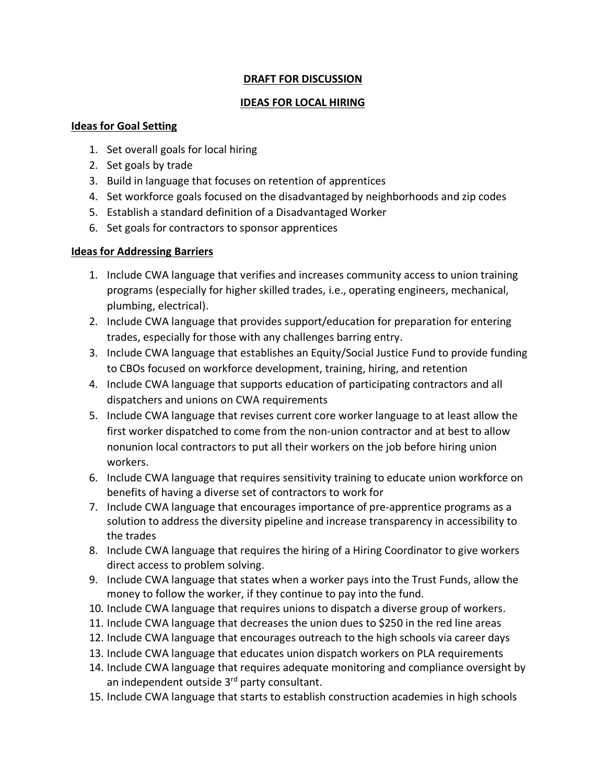## **DRAFT FOR DISCUSSION**

### **IDEAS FOR LOCAL HIRING**

#### **Ideas for Goal Setting**

- 1. Set overall goals for local hiring
- 2. Set goals by trade
- 3. Build in language that focuses on retention of apprentices
- 4. Set workforce goals focused on the disadvantaged by neighborhoods and zip codes
- 5. Establish a standard definition of a Disadvantaged Worker
- 6. Set goals for contractors to sponsor apprentices

## **Ideas for Addressing Barriers**

- 1. Include CWA language that verifies and increases community access to union training programs (especially for higher skilled trades, i.e., operating engineers, mechanical, plumbing, electrical).
- 2. Include CWA language that provides support/education for preparation for entering trades, especially for those with any challenges barring entry.
- 3. Include CWA language that establishes an Equity/Social Justice Fund to provide funding to CBOs focused on workforce development, training, hiring, and retention
- 4. Include CWA language that supports education of participating contractors and all dispatchers and unions on CWA requirements
- 5. Include CWA language that revises current core worker language to at least allow the first worker dispatched to come from the non-union contractor and at best to allow nonunion local contractors to put all their workers on the job before hiring union workers.
- 6. Include CWA language that requires sensitivity training to educate union workforce on benefits of having a diverse set of contractors to work for
- 7. Include CWA language that encourages importance of pre-apprentice programs as a solution to address the diversity pipeline and increase transparency in accessibility to the trades
- 8. Include CWA language that requires the hiring of a Hiring Coordinator to give workers direct access to problem solving.
- 9. Include CWA language that states when a worker pays into the Trust Funds, allow the money to follow the worker, if they continue to pay into the fund.
- 10. Include CWA language that requires unions to dispatch a diverse group of workers.
- 11. Include CWA language that decreases the union dues to \$250 in the red line areas
- 12. Include CWA language that encourages outreach to the high schools via career days
- 13. Include CWA language that educates union dispatch workers on PLA requirements
- 14. Include CWA language that requires adequate monitoring and compliance oversight by an independent outside 3<sup>rd</sup> party consultant.
- 15. Include CWA language that starts to establish construction academies in high schools